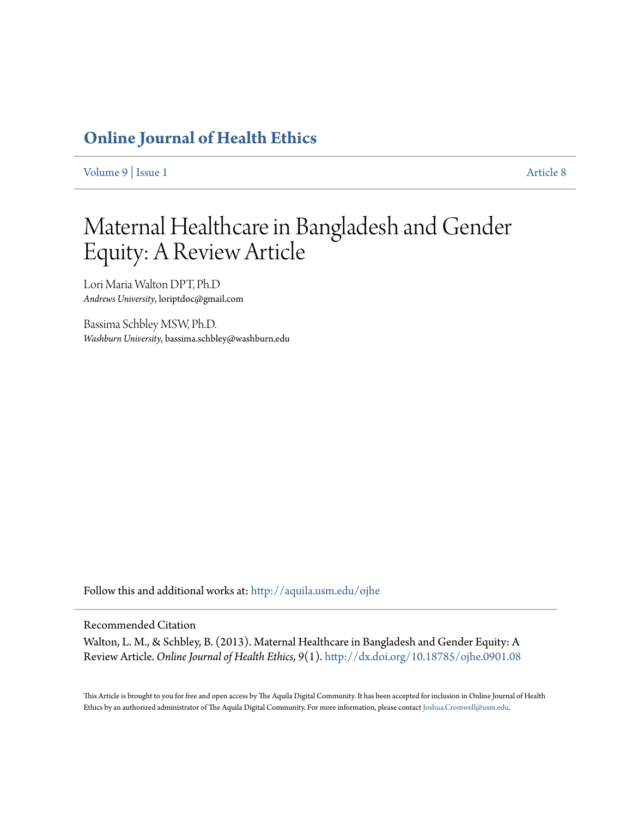## **[Online Journal of Health Ethics](http://aquila.usm.edu/ojhe?utm_source=aquila.usm.edu%2Fojhe%2Fvol9%2Fiss1%2F8&utm_medium=PDF&utm_campaign=PDFCoverPages)**

[Volume 9](http://aquila.usm.edu/ojhe/vol9?utm_source=aquila.usm.edu%2Fojhe%2Fvol9%2Fiss1%2F8&utm_medium=PDF&utm_campaign=PDFCoverPages) | [Issue 1](http://aquila.usm.edu/ojhe/vol9/iss1?utm_source=aquila.usm.edu%2Fojhe%2Fvol9%2Fiss1%2F8&utm_medium=PDF&utm_campaign=PDFCoverPages) [Article 8](http://aquila.usm.edu/ojhe/vol9/iss1/8?utm_source=aquila.usm.edu%2Fojhe%2Fvol9%2Fiss1%2F8&utm_medium=PDF&utm_campaign=PDFCoverPages)

# Maternal Healthcare in Bangladesh and Gender Equity: A Review Article

Lori Maria Walton DPT, Ph.D *Andrews University*, loriptdoc@gmail.com

Bassima Schbley MSW, Ph.D. *Washburn University*, bassima.schbley@washburn.edu

Follow this and additional works at: [http://aquila.usm.edu/ojhe](http://aquila.usm.edu/ojhe?utm_source=aquila.usm.edu%2Fojhe%2Fvol9%2Fiss1%2F8&utm_medium=PDF&utm_campaign=PDFCoverPages)

#### Recommended Citation

Walton, L. M., & Schbley, B. (2013). Maternal Healthcare in Bangladesh and Gender Equity: A Review Article. *Online Journal of Health Ethics, 9*(1). <http://dx.doi.org/10.18785/ojhe.0901.08>

This Article is brought to you for free and open access by The Aquila Digital Community. It has been accepted for inclusion in Online Journal of Health Ethics by an authorized administrator of The Aquila Digital Community. For more information, please contact [Joshua.Cromwell@usm.edu.](mailto:Joshua.Cromwell@usm.edu)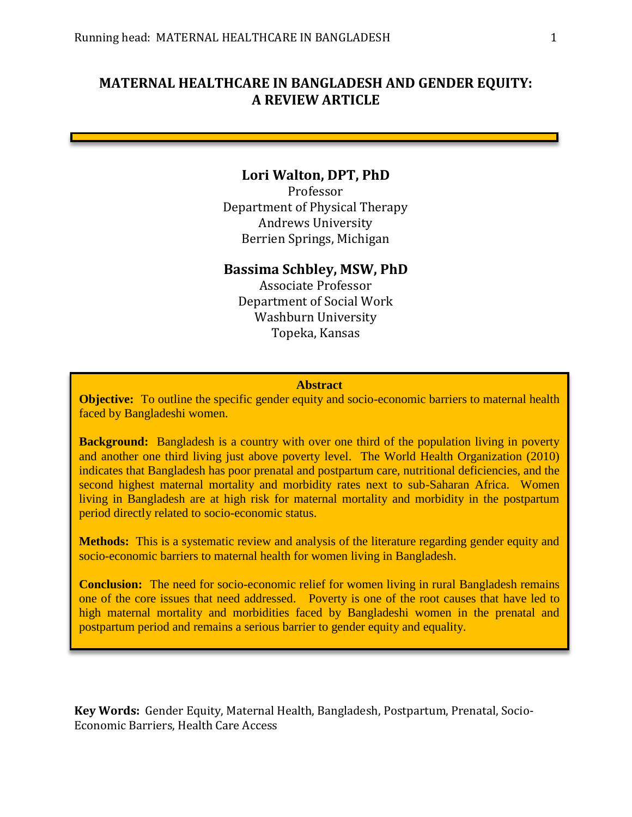## **MATERNAL HEALTHCARE IN BANGLADESH AND GENDER EQUITY: A REVIEW ARTICLE**

## **Lori Walton, DPT, PhD**

Professor Department of Physical Therapy Andrews University Berrien Springs, Michigan

## **Bassima Schbley, MSW, PhD**

Associate Professor Department of Social Work Washburn University Topeka, Kansas

#### **Abstract**

**Objective:** To outline the specific gender equity and socio-economic barriers to maternal health faced by Bangladeshi women.

**Background:** Bangladesh is a country with over one third of the population living in poverty and another one third living just above poverty level. The World Health Organization (2010) indicates that Bangladesh has poor prenatal and postpartum care, nutritional deficiencies, and the second highest maternal mortality and morbidity rates next to sub-Saharan Africa. Women living in Bangladesh are at high risk for maternal mortality and morbidity in the postpartum period directly related to socio-economic status.

**Methods:** This is a systematic review and analysis of the literature regarding gender equity and socio-economic barriers to maternal health for women living in Bangladesh.

**Conclusion:** The need for socio-economic relief for women living in rural Bangladesh remains one of the core issues that need addressed. Poverty is one of the root causes that have led to high maternal mortality and morbidities faced by Bangladeshi women in the prenatal and postpartum period and remains a serious barrier to gender equity and equality.

**Key Words:** Gender Equity, Maternal Health, Bangladesh, Postpartum, Prenatal, Socio-Economic Barriers, Health Care Access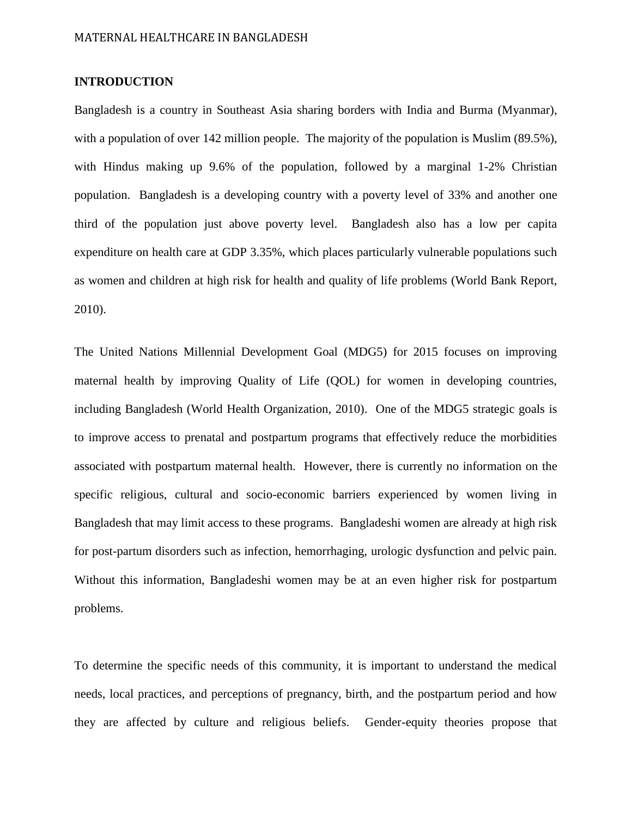## **INTRODUCTION**

Bangladesh is a country in Southeast Asia sharing borders with India and Burma (Myanmar), with a population of over 142 million people. The majority of the population is Muslim (89.5%), with Hindus making up 9.6% of the population, followed by a marginal 1-2% Christian population. Bangladesh is a developing country with a poverty level of 33% and another one third of the population just above poverty level. Bangladesh also has a low per capita expenditure on health care at GDP 3.35%, which places particularly vulnerable populations such as women and children at high risk for health and quality of life problems (World Bank Report, 2010).

The United Nations Millennial Development Goal (MDG5) for 2015 focuses on improving maternal health by improving Quality of Life (QOL) for women in developing countries, including Bangladesh (World Health Organization, 2010). One of the MDG5 strategic goals is to improve access to prenatal and postpartum programs that effectively reduce the morbidities associated with postpartum maternal health. However, there is currently no information on the specific religious, cultural and socio-economic barriers experienced by women living in Bangladesh that may limit access to these programs. Bangladeshi women are already at high risk for post-partum disorders such as infection, hemorrhaging, urologic dysfunction and pelvic pain. Without this information, Bangladeshi women may be at an even higher risk for postpartum problems.

To determine the specific needs of this community, it is important to understand the medical needs, local practices, and perceptions of pregnancy, birth, and the postpartum period and how they are affected by culture and religious beliefs. Gender-equity theories propose that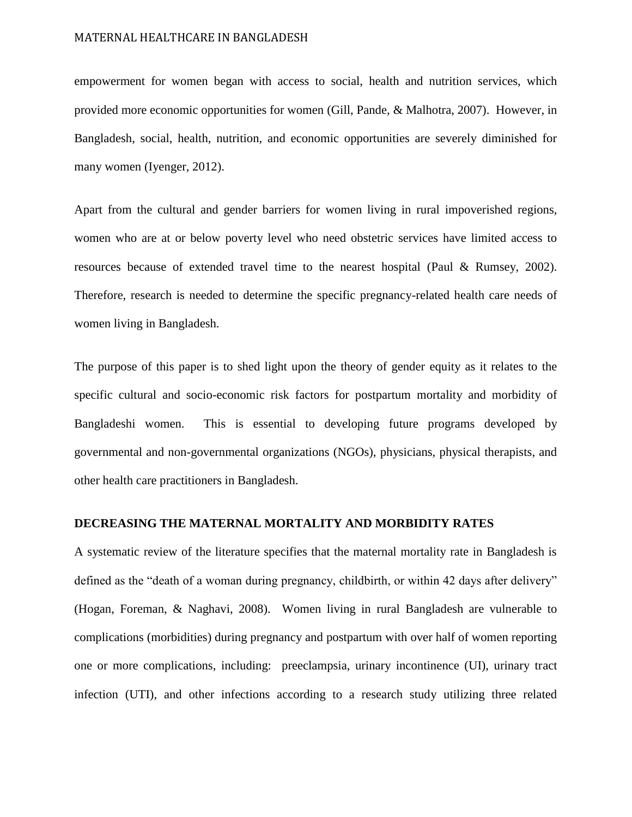empowerment for women began with access to social, health and nutrition services, which provided more economic opportunities for women (Gill, Pande, & Malhotra, 2007). However, in Bangladesh, social, health, nutrition, and economic opportunities are severely diminished for many women (Iyenger, 2012).

Apart from the cultural and gender barriers for women living in rural impoverished regions, women who are at or below poverty level who need obstetric services have limited access to resources because of extended travel time to the nearest hospital (Paul & Rumsey, 2002). Therefore, research is needed to determine the specific pregnancy-related health care needs of women living in Bangladesh.

The purpose of this paper is to shed light upon the theory of gender equity as it relates to the specific cultural and socio-economic risk factors for postpartum mortality and morbidity of Bangladeshi women. This is essential to developing future programs developed by governmental and non-governmental organizations (NGOs), physicians, physical therapists, and other health care practitioners in Bangladesh.

#### **DECREASING THE MATERNAL MORTALITY AND MORBIDITY RATES**

A systematic review of the literature specifies that the maternal mortality rate in Bangladesh is defined as the "death of a woman during pregnancy, childbirth, or within 42 days after delivery" (Hogan, Foreman, & Naghavi, 2008). Women living in rural Bangladesh are vulnerable to complications (morbidities) during pregnancy and postpartum with over half of women reporting one or more complications, including: preeclampsia, urinary incontinence (UI), urinary tract infection (UTI), and other infections according to a research study utilizing three related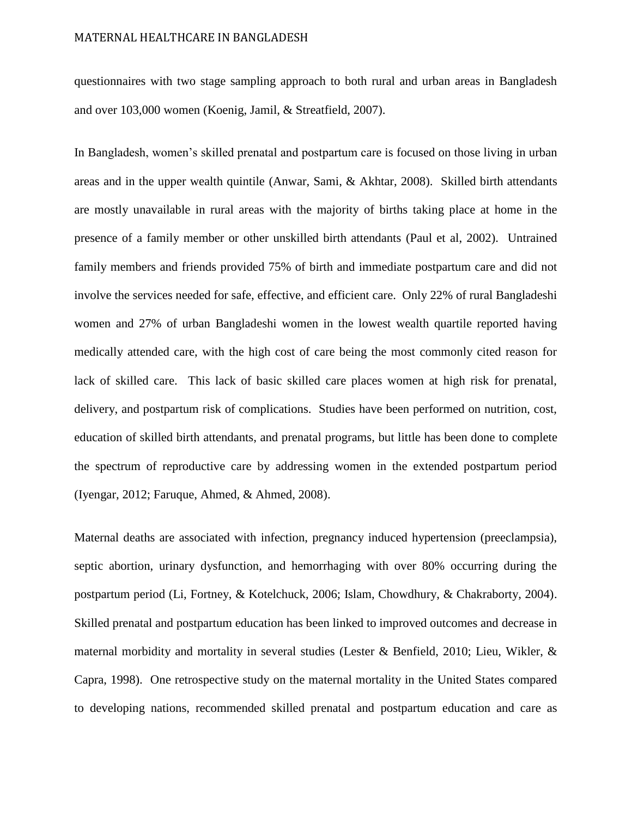questionnaires with two stage sampling approach to both rural and urban areas in Bangladesh and over 103,000 women (Koenig, Jamil, & Streatfield, 2007).

In Bangladesh, women's skilled prenatal and postpartum care is focused on those living in urban areas and in the upper wealth quintile (Anwar, Sami, & Akhtar, 2008). Skilled birth attendants are mostly unavailable in rural areas with the majority of births taking place at home in the presence of a family member or other unskilled birth attendants (Paul et al, 2002). Untrained family members and friends provided 75% of birth and immediate postpartum care and did not involve the services needed for safe, effective, and efficient care. Only 22% of rural Bangladeshi women and 27% of urban Bangladeshi women in the lowest wealth quartile reported having medically attended care, with the high cost of care being the most commonly cited reason for lack of skilled care. This lack of basic skilled care places women at high risk for prenatal, delivery, and postpartum risk of complications. Studies have been performed on nutrition, cost, education of skilled birth attendants, and prenatal programs, but little has been done to complete the spectrum of reproductive care by addressing women in the extended postpartum period (Iyengar, 2012; Faruque, Ahmed, & Ahmed, 2008).

Maternal deaths are associated with infection, pregnancy induced hypertension (preeclampsia), septic abortion, urinary dysfunction, and hemorrhaging with over 80% occurring during the postpartum period (Li, Fortney, & Kotelchuck, 2006; Islam, Chowdhury, & Chakraborty, 2004). Skilled prenatal and postpartum education has been linked to improved outcomes and decrease in maternal morbidity and mortality in several studies (Lester & Benfield, 2010; Lieu, Wikler,  $\&$ Capra, 1998). One retrospective study on the maternal mortality in the United States compared to developing nations, recommended skilled prenatal and postpartum education and care as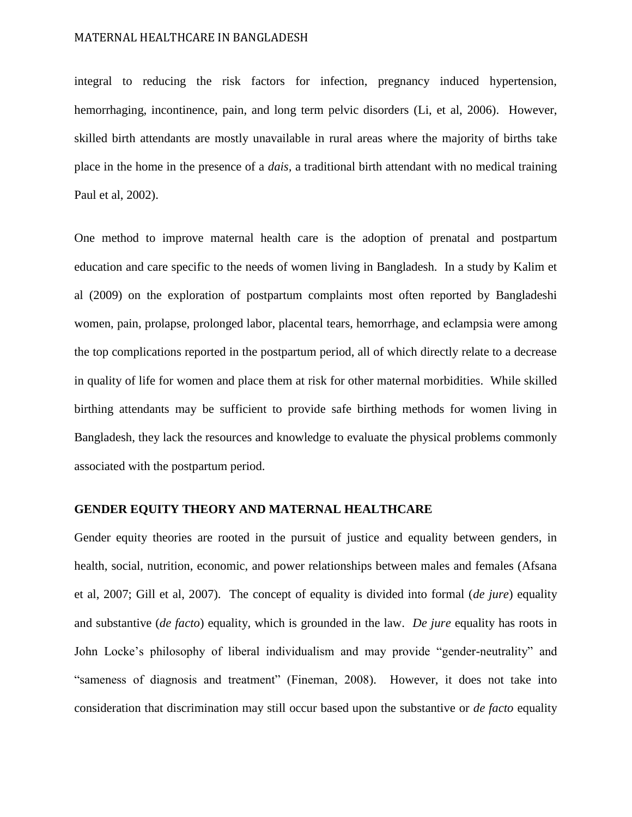integral to reducing the risk factors for infection, pregnancy induced hypertension, hemorrhaging, incontinence, pain, and long term pelvic disorders (Li, et al, 2006). However, skilled birth attendants are mostly unavailable in rural areas where the majority of births take place in the home in the presence of a *dais,* a traditional birth attendant with no medical training Paul et al, 2002).

One method to improve maternal health care is the adoption of prenatal and postpartum education and care specific to the needs of women living in Bangladesh. In a study by Kalim et al (2009) on the exploration of postpartum complaints most often reported by Bangladeshi women, pain, prolapse, prolonged labor, placental tears, hemorrhage, and eclampsia were among the top complications reported in the postpartum period, all of which directly relate to a decrease in quality of life for women and place them at risk for other maternal morbidities. While skilled birthing attendants may be sufficient to provide safe birthing methods for women living in Bangladesh, they lack the resources and knowledge to evaluate the physical problems commonly associated with the postpartum period.

#### **GENDER EQUITY THEORY AND MATERNAL HEALTHCARE**

Gender equity theories are rooted in the pursuit of justice and equality between genders, in health, social, nutrition, economic, and power relationships between males and females (Afsana et al, 2007; Gill et al, 2007). The concept of equality is divided into formal (*de jure*) equality and substantive (*de facto*) equality, which is grounded in the law. *De jure* equality has roots in John Locke's philosophy of liberal individualism and may provide "gender-neutrality" and "sameness of diagnosis and treatment" (Fineman, 2008). However, it does not take into consideration that discrimination may still occur based upon the substantive or *de facto* equality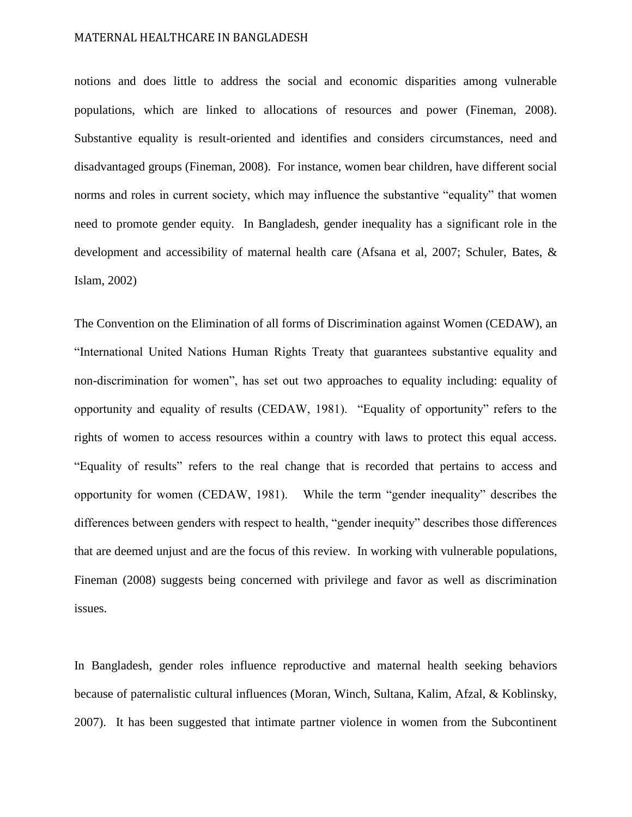notions and does little to address the social and economic disparities among vulnerable populations, which are linked to allocations of resources and power (Fineman, 2008). Substantive equality is result-oriented and identifies and considers circumstances, need and disadvantaged groups (Fineman, 2008). For instance, women bear children, have different social norms and roles in current society, which may influence the substantive "equality" that women need to promote gender equity. In Bangladesh, gender inequality has a significant role in the development and accessibility of maternal health care (Afsana et al, 2007; Schuler, Bates, & Islam, 2002)

The Convention on the Elimination of all forms of Discrimination against Women (CEDAW), an "International United Nations Human Rights Treaty that guarantees substantive equality and non-discrimination for women", has set out two approaches to equality including: equality of opportunity and equality of results (CEDAW, 1981). "Equality of opportunity" refers to the rights of women to access resources within a country with laws to protect this equal access. "Equality of results" refers to the real change that is recorded that pertains to access and opportunity for women (CEDAW, 1981). While the term "gender inequality" describes the differences between genders with respect to health, "gender inequity" describes those differences that are deemed unjust and are the focus of this review. In working with vulnerable populations, Fineman (2008) suggests being concerned with privilege and favor as well as discrimination issues.

In Bangladesh, gender roles influence reproductive and maternal health seeking behaviors because of paternalistic cultural influences (Moran, Winch, Sultana, Kalim, Afzal, & Koblinsky, 2007). It has been suggested that intimate partner violence in women from the Subcontinent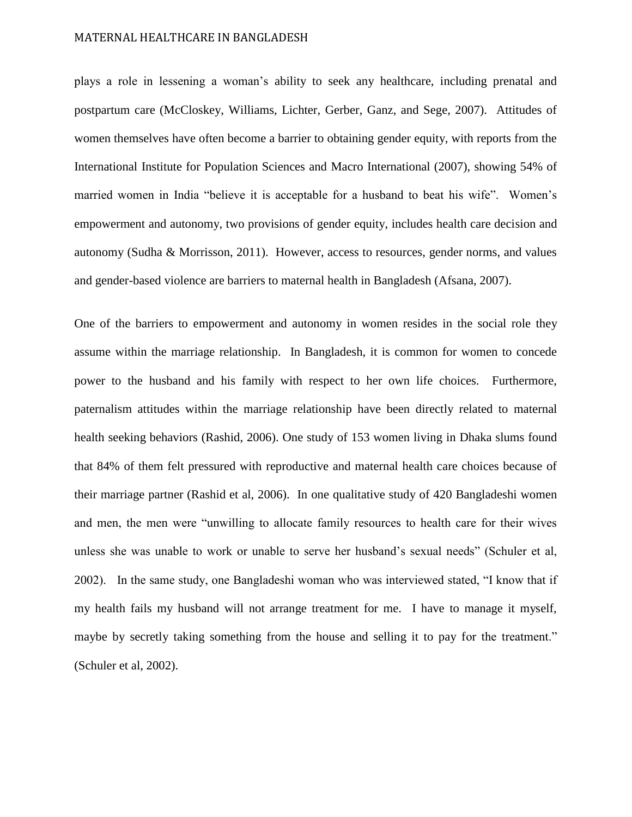plays a role in lessening a woman's ability to seek any healthcare, including prenatal and postpartum care (McCloskey, Williams, Lichter, Gerber, Ganz, and Sege, 2007). Attitudes of women themselves have often become a barrier to obtaining gender equity, with reports from the International Institute for Population Sciences and Macro International (2007), showing 54% of married women in India "believe it is acceptable for a husband to beat his wife". Women's empowerment and autonomy, two provisions of gender equity, includes health care decision and autonomy (Sudha & Morrisson, 2011). However, access to resources, gender norms, and values and gender-based violence are barriers to maternal health in Bangladesh (Afsana, 2007).

One of the barriers to empowerment and autonomy in women resides in the social role they assume within the marriage relationship. In Bangladesh, it is common for women to concede power to the husband and his family with respect to her own life choices. Furthermore, paternalism attitudes within the marriage relationship have been directly related to maternal health seeking behaviors (Rashid, 2006). One study of 153 women living in Dhaka slums found that 84% of them felt pressured with reproductive and maternal health care choices because of their marriage partner (Rashid et al, 2006). In one qualitative study of 420 Bangladeshi women and men, the men were "unwilling to allocate family resources to health care for their wives unless she was unable to work or unable to serve her husband's sexual needs" (Schuler et al, 2002). In the same study, one Bangladeshi woman who was interviewed stated, "I know that if my health fails my husband will not arrange treatment for me. I have to manage it myself, maybe by secretly taking something from the house and selling it to pay for the treatment." (Schuler et al, 2002).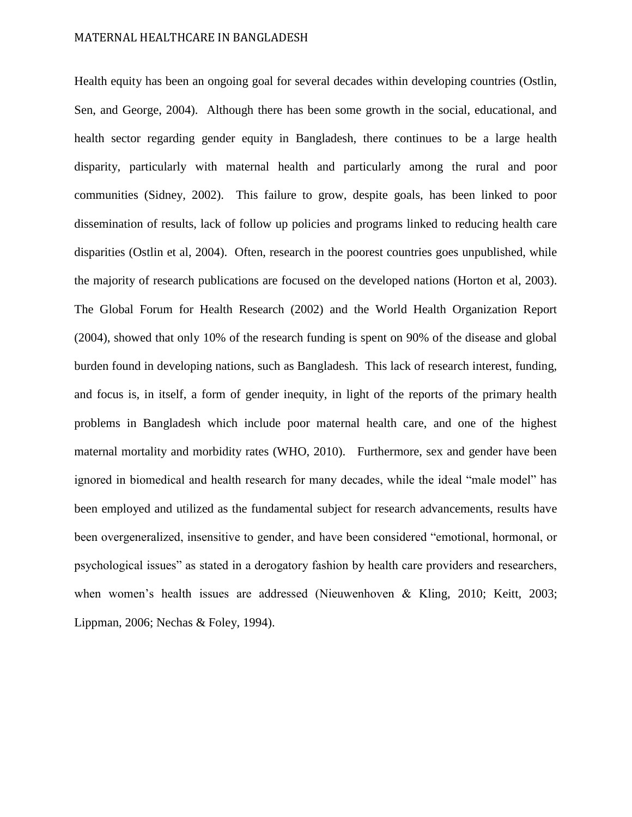Health equity has been an ongoing goal for several decades within developing countries (Ostlin, Sen, and George, 2004). Although there has been some growth in the social, educational, and health sector regarding gender equity in Bangladesh, there continues to be a large health disparity, particularly with maternal health and particularly among the rural and poor communities (Sidney, 2002). This failure to grow, despite goals, has been linked to poor dissemination of results, lack of follow up policies and programs linked to reducing health care disparities (Ostlin et al, 2004). Often, research in the poorest countries goes unpublished, while the majority of research publications are focused on the developed nations (Horton et al, 2003). The Global Forum for Health Research (2002) and the World Health Organization Report (2004), showed that only 10% of the research funding is spent on 90% of the disease and global burden found in developing nations, such as Bangladesh. This lack of research interest, funding, and focus is, in itself, a form of gender inequity, in light of the reports of the primary health problems in Bangladesh which include poor maternal health care, and one of the highest maternal mortality and morbidity rates (WHO, 2010). Furthermore, sex and gender have been ignored in biomedical and health research for many decades, while the ideal "male model" has been employed and utilized as the fundamental subject for research advancements, results have been overgeneralized, insensitive to gender, and have been considered "emotional, hormonal, or psychological issues" as stated in a derogatory fashion by health care providers and researchers, when women's health issues are addressed (Nieuwenhoven & Kling, 2010; Keitt, 2003; Lippman, 2006; Nechas & Foley, 1994).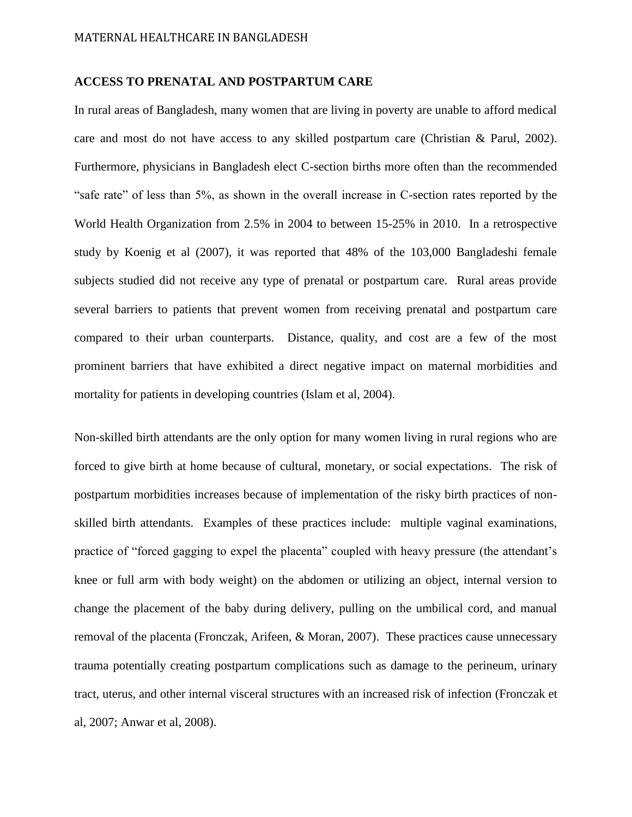#### **ACCESS TO PRENATAL AND POSTPARTUM CARE**

In rural areas of Bangladesh, many women that are living in poverty are unable to afford medical care and most do not have access to any skilled postpartum care (Christian & Parul, 2002). Furthermore, physicians in Bangladesh elect C-section births more often than the recommended "safe rate" of less than 5%, as shown in the overall increase in C-section rates reported by the World Health Organization from 2.5% in 2004 to between 15-25% in 2010. In a retrospective study by Koenig et al (2007), it was reported that 48% of the 103,000 Bangladeshi female subjects studied did not receive any type of prenatal or postpartum care. Rural areas provide several barriers to patients that prevent women from receiving prenatal and postpartum care compared to their urban counterparts. Distance, quality, and cost are a few of the most prominent barriers that have exhibited a direct negative impact on maternal morbidities and mortality for patients in developing countries (Islam et al, 2004).

Non-skilled birth attendants are the only option for many women living in rural regions who are forced to give birth at home because of cultural, monetary, or social expectations. The risk of postpartum morbidities increases because of implementation of the risky birth practices of nonskilled birth attendants. Examples of these practices include: multiple vaginal examinations, practice of "forced gagging to expel the placenta" coupled with heavy pressure (the attendant's knee or full arm with body weight) on the abdomen or utilizing an object, internal version to change the placement of the baby during delivery, pulling on the umbilical cord, and manual removal of the placenta (Fronczak, Arifeen, & Moran, 2007). These practices cause unnecessary trauma potentially creating postpartum complications such as damage to the perineum, urinary tract, uterus, and other internal visceral structures with an increased risk of infection (Fronczak et al, 2007; Anwar et al, 2008).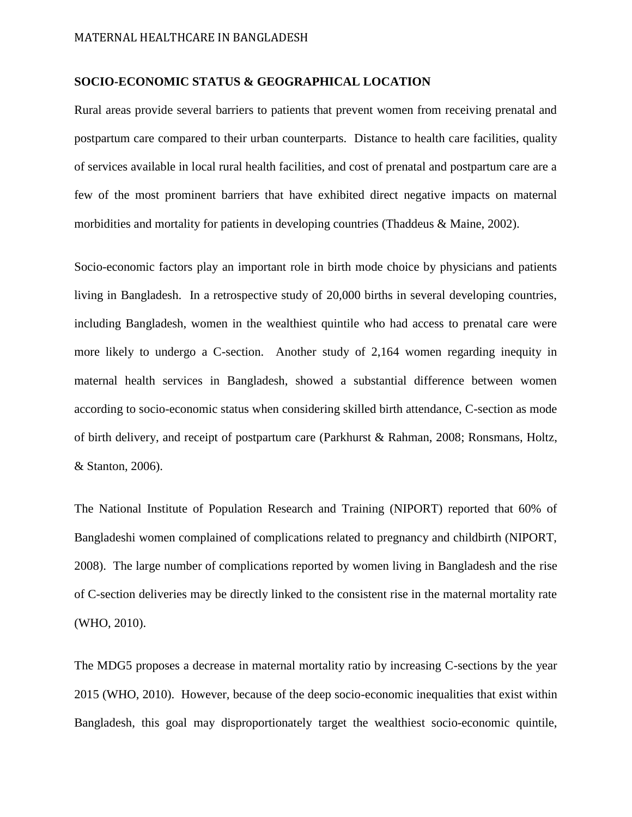#### **SOCIO-ECONOMIC STATUS & GEOGRAPHICAL LOCATION**

Rural areas provide several barriers to patients that prevent women from receiving prenatal and postpartum care compared to their urban counterparts. Distance to health care facilities, quality of services available in local rural health facilities, and cost of prenatal and postpartum care are a few of the most prominent barriers that have exhibited direct negative impacts on maternal morbidities and mortality for patients in developing countries (Thaddeus & Maine, 2002).

Socio-economic factors play an important role in birth mode choice by physicians and patients living in Bangladesh. In a retrospective study of 20,000 births in several developing countries, including Bangladesh, women in the wealthiest quintile who had access to prenatal care were more likely to undergo a C-section. Another study of 2,164 women regarding inequity in maternal health services in Bangladesh, showed a substantial difference between women according to socio-economic status when considering skilled birth attendance, C-section as mode of birth delivery, and receipt of postpartum care (Parkhurst & Rahman, 2008; Ronsmans, Holtz, & Stanton, 2006).

The National Institute of Population Research and Training (NIPORT) reported that 60% of Bangladeshi women complained of complications related to pregnancy and childbirth (NIPORT, 2008). The large number of complications reported by women living in Bangladesh and the rise of C-section deliveries may be directly linked to the consistent rise in the maternal mortality rate (WHO, 2010).

The MDG5 proposes a decrease in maternal mortality ratio by increasing C-sections by the year 2015 (WHO, 2010). However, because of the deep socio-economic inequalities that exist within Bangladesh, this goal may disproportionately target the wealthiest socio-economic quintile,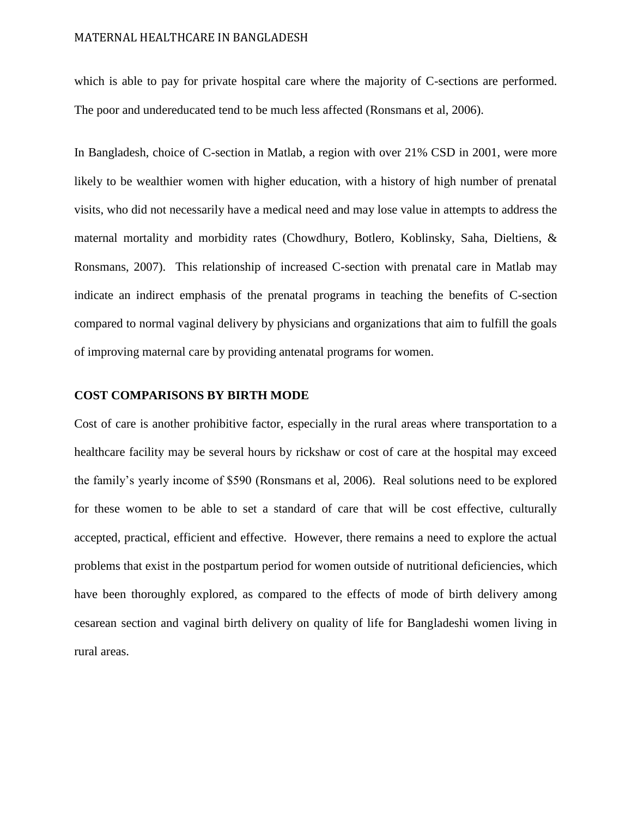which is able to pay for private hospital care where the majority of C-sections are performed. The poor and undereducated tend to be much less affected (Ronsmans et al, 2006).

In Bangladesh, choice of C-section in Matlab, a region with over 21% CSD in 2001, were more likely to be wealthier women with higher education, with a history of high number of prenatal visits, who did not necessarily have a medical need and may lose value in attempts to address the maternal mortality and morbidity rates (Chowdhury, Botlero, Koblinsky, Saha, Dieltiens, & Ronsmans, 2007). This relationship of increased C-section with prenatal care in Matlab may indicate an indirect emphasis of the prenatal programs in teaching the benefits of C-section compared to normal vaginal delivery by physicians and organizations that aim to fulfill the goals of improving maternal care by providing antenatal programs for women.

#### **COST COMPARISONS BY BIRTH MODE**

Cost of care is another prohibitive factor, especially in the rural areas where transportation to a healthcare facility may be several hours by rickshaw or cost of care at the hospital may exceed the family's yearly income of \$590 (Ronsmans et al, 2006). Real solutions need to be explored for these women to be able to set a standard of care that will be cost effective, culturally accepted, practical, efficient and effective. However, there remains a need to explore the actual problems that exist in the postpartum period for women outside of nutritional deficiencies, which have been thoroughly explored, as compared to the effects of mode of birth delivery among cesarean section and vaginal birth delivery on quality of life for Bangladeshi women living in rural areas.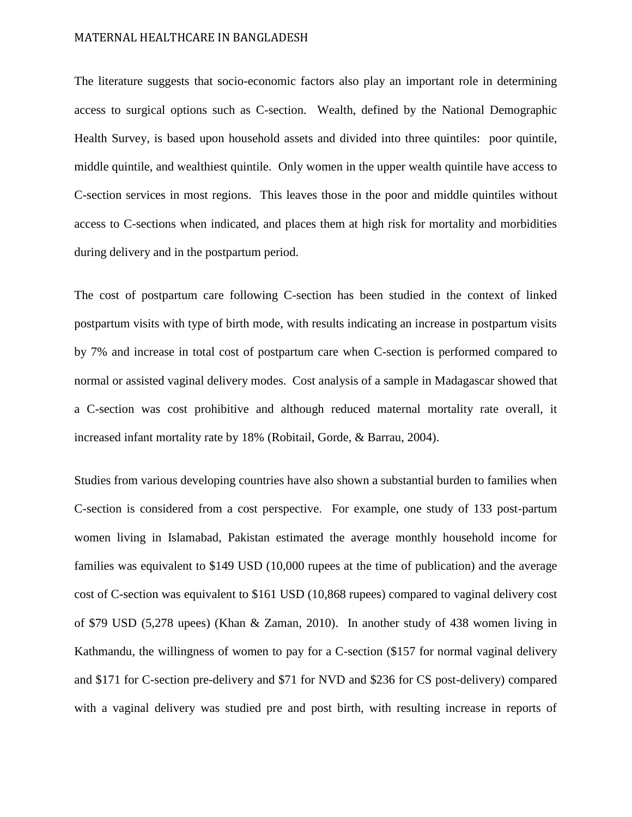The literature suggests that socio-economic factors also play an important role in determining access to surgical options such as C-section. Wealth, defined by the National Demographic Health Survey, is based upon household assets and divided into three quintiles: poor quintile, middle quintile, and wealthiest quintile. Only women in the upper wealth quintile have access to C-section services in most regions. This leaves those in the poor and middle quintiles without access to C-sections when indicated, and places them at high risk for mortality and morbidities during delivery and in the postpartum period.

The cost of postpartum care following C-section has been studied in the context of linked postpartum visits with type of birth mode, with results indicating an increase in postpartum visits by 7% and increase in total cost of postpartum care when C-section is performed compared to normal or assisted vaginal delivery modes. Cost analysis of a sample in Madagascar showed that a C-section was cost prohibitive and although reduced maternal mortality rate overall, it increased infant mortality rate by 18% (Robitail, Gorde, & Barrau, 2004).

Studies from various developing countries have also shown a substantial burden to families when C-section is considered from a cost perspective. For example, one study of 133 post-partum women living in Islamabad, Pakistan estimated the average monthly household income for families was equivalent to \$149 USD (10,000 rupees at the time of publication) and the average cost of C-section was equivalent to \$161 USD (10,868 rupees) compared to vaginal delivery cost of \$79 USD (5,278 upees) (Khan & Zaman, 2010). In another study of 438 women living in Kathmandu, the willingness of women to pay for a C-section (\$157 for normal vaginal delivery and \$171 for C-section pre-delivery and \$71 for NVD and \$236 for CS post-delivery) compared with a vaginal delivery was studied pre and post birth, with resulting increase in reports of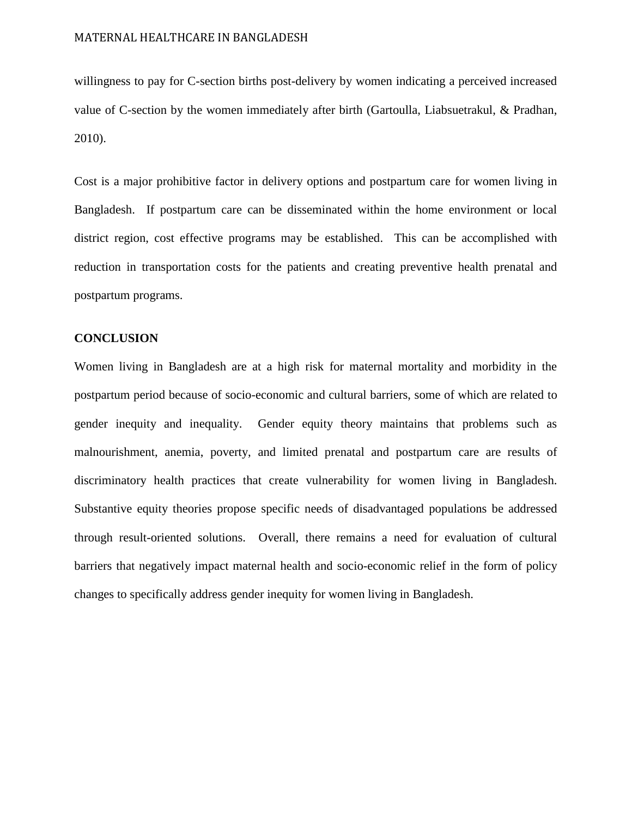willingness to pay for C-section births post-delivery by women indicating a perceived increased value of C-section by the women immediately after birth (Gartoulla, Liabsuetrakul, & Pradhan, 2010).

Cost is a major prohibitive factor in delivery options and postpartum care for women living in Bangladesh. If postpartum care can be disseminated within the home environment or local district region, cost effective programs may be established. This can be accomplished with reduction in transportation costs for the patients and creating preventive health prenatal and postpartum programs.

#### **CONCLUSION**

Women living in Bangladesh are at a high risk for maternal mortality and morbidity in the postpartum period because of socio-economic and cultural barriers, some of which are related to gender inequity and inequality. Gender equity theory maintains that problems such as malnourishment, anemia, poverty, and limited prenatal and postpartum care are results of discriminatory health practices that create vulnerability for women living in Bangladesh. Substantive equity theories propose specific needs of disadvantaged populations be addressed through result-oriented solutions. Overall, there remains a need for evaluation of cultural barriers that negatively impact maternal health and socio-economic relief in the form of policy changes to specifically address gender inequity for women living in Bangladesh.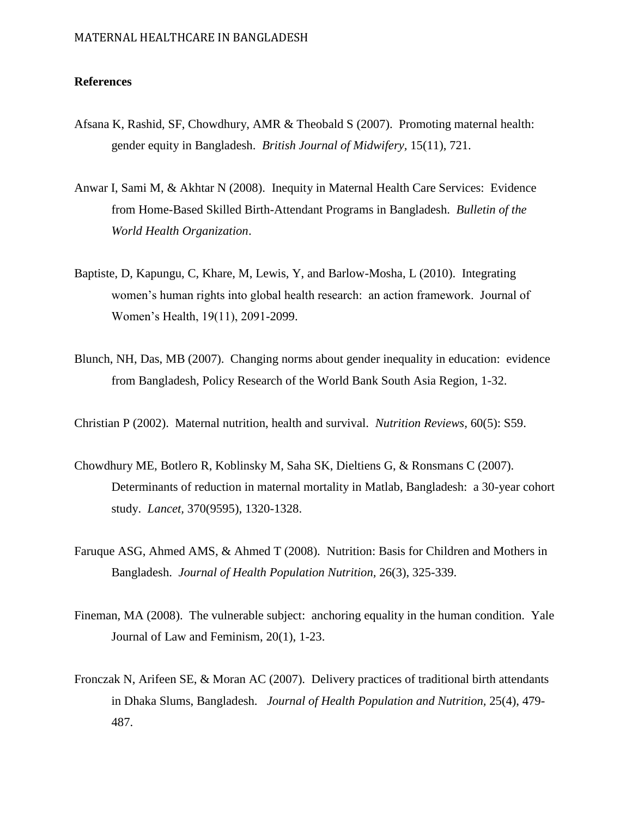### **References**

- Afsana K, Rashid, SF, Chowdhury, AMR & Theobald S (2007). Promoting maternal health: gender equity in Bangladesh. *British Journal of Midwifery,* 15(11), 721.
- Anwar I, Sami M, & Akhtar N (2008). Inequity in Maternal Health Care Services: Evidence from Home-Based Skilled Birth-Attendant Programs in Bangladesh. *Bulletin of the World Health Organization*.
- Baptiste, D, Kapungu, C, Khare, M, Lewis, Y, and Barlow-Mosha, L (2010). Integrating women's human rights into global health research: an action framework. Journal of Women's Health, 19(11), 2091-2099.
- Blunch, NH, Das, MB (2007). Changing norms about gender inequality in education: evidence from Bangladesh, Policy Research of the World Bank South Asia Region, 1-32.
- Christian P (2002). Maternal nutrition, health and survival. *Nutrition Reviews,* 60(5): S59.
- Chowdhury ME, Botlero R, Koblinsky M, Saha SK, Dieltiens G, & Ronsmans C (2007). Determinants of reduction in maternal mortality in Matlab, Bangladesh: a 30-year cohort study. *Lancet,* 370(9595), 1320-1328.
- Faruque ASG, Ahmed AMS, & Ahmed T (2008). Nutrition: Basis for Children and Mothers in Bangladesh. *Journal of Health Population Nutrition,* 26(3), 325-339.
- Fineman, MA (2008). The vulnerable subject: anchoring equality in the human condition. Yale Journal of Law and Feminism, 20(1), 1-23.
- Fronczak N, Arifeen SE, & Moran AC (2007). Delivery practices of traditional birth attendants in Dhaka Slums, Bangladesh. *Journal of Health Population and Nutrition,* 25(4), 479- 487.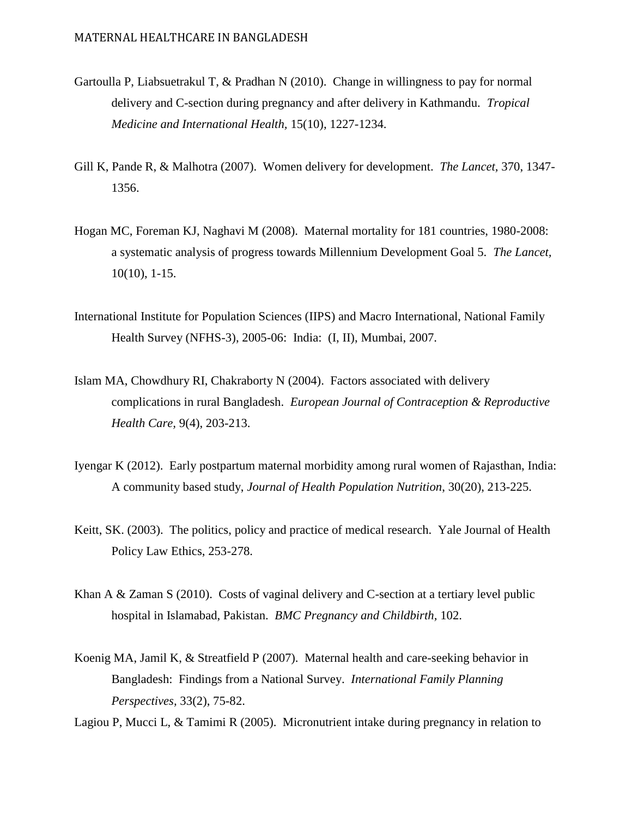- Gartoulla P, Liabsuetrakul T, & Pradhan N (2010). Change in willingness to pay for normal delivery and C-section during pregnancy and after delivery in Kathmandu. *Tropical Medicine and International Health,* 15(10), 1227-1234.
- Gill K, Pande R, & Malhotra (2007). Women delivery for development. *The Lancet,* 370, 1347- 1356.
- Hogan MC, Foreman KJ, Naghavi M (2008). Maternal mortality for 181 countries, 1980-2008: a systematic analysis of progress towards Millennium Development Goal 5. *The Lancet,*  10(10), 1-15.
- International Institute for Population Sciences (IIPS) and Macro International, National Family Health Survey (NFHS-3), 2005-06: India: (I, II), Mumbai, 2007.
- Islam MA, Chowdhury RI, Chakraborty N (2004). Factors associated with delivery complications in rural Bangladesh. *European Journal of Contraception & Reproductive Health Care,* 9(4), 203-213.
- Iyengar K (2012). Early postpartum maternal morbidity among rural women of Rajasthan, India: A community based study, *Journal of Health Population Nutrition*, 30(20), 213-225.
- Keitt, SK. (2003). The politics, policy and practice of medical research. Yale Journal of Health Policy Law Ethics, 253-278.
- Khan A & Zaman S (2010). Costs of vaginal delivery and C-section at a tertiary level public hospital in Islamabad, Pakistan. *BMC Pregnancy and Childbirth,* 102.
- Koenig MA, Jamil K, & Streatfield P (2007). Maternal health and care-seeking behavior in Bangladesh: Findings from a National Survey. *International Family Planning Perspectives,* 33(2), 75-82.

Lagiou P, Mucci L, & Tamimi R (2005). Micronutrient intake during pregnancy in relation to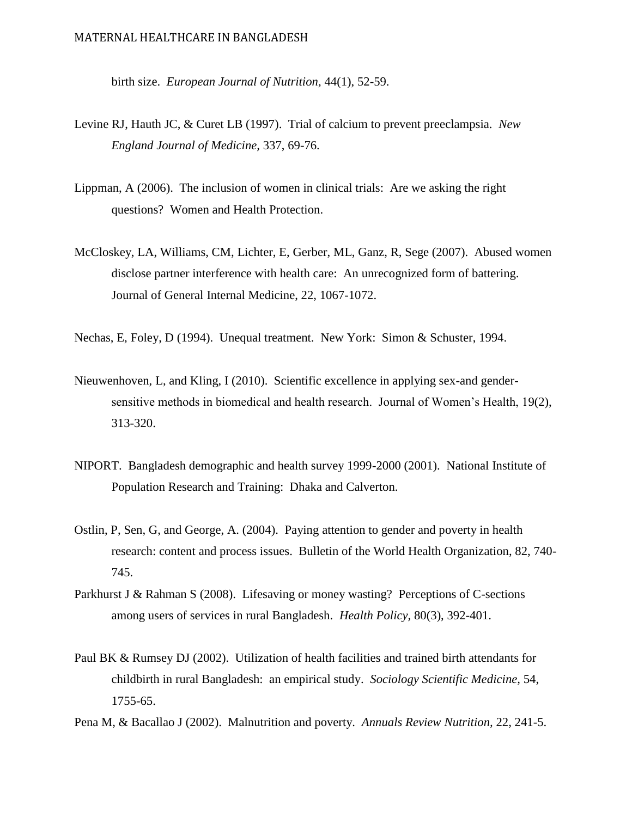birth size. *European Journal of Nutrition,* 44(1), 52-59.

- Levine RJ, Hauth JC, & Curet LB (1997). Trial of calcium to prevent preeclampsia. *New England Journal of Medicine,* 337, 69-76.
- Lippman, A (2006). The inclusion of women in clinical trials: Are we asking the right questions? Women and Health Protection.
- McCloskey, LA, Williams, CM, Lichter, E, Gerber, ML, Ganz, R, Sege (2007). Abused women disclose partner interference with health care: An unrecognized form of battering. Journal of General Internal Medicine, 22, 1067-1072.

Nechas, E, Foley, D (1994). Unequal treatment. New York: Simon & Schuster, 1994.

- Nieuwenhoven, L, and Kling, I (2010). Scientific excellence in applying sex-and gendersensitive methods in biomedical and health research. Journal of Women's Health, 19(2), 313-320.
- NIPORT. Bangladesh demographic and health survey 1999-2000 (2001). National Institute of Population Research and Training: Dhaka and Calverton.
- Ostlin, P, Sen, G, and George, A. (2004). Paying attention to gender and poverty in health research: content and process issues. Bulletin of the World Health Organization, 82, 740- 745.
- Parkhurst J & Rahman S (2008). Lifesaving or money wasting? Perceptions of C-sections among users of services in rural Bangladesh. *Health Policy,* 80(3), 392-401.
- Paul BK & Rumsey DJ (2002). Utilization of health facilities and trained birth attendants for childbirth in rural Bangladesh: an empirical study. *Sociology Scientific Medicine,* 54, 1755-65.
- Pena M, & Bacallao J (2002). Malnutrition and poverty. *Annuals Review Nutrition,* 22, 241-5.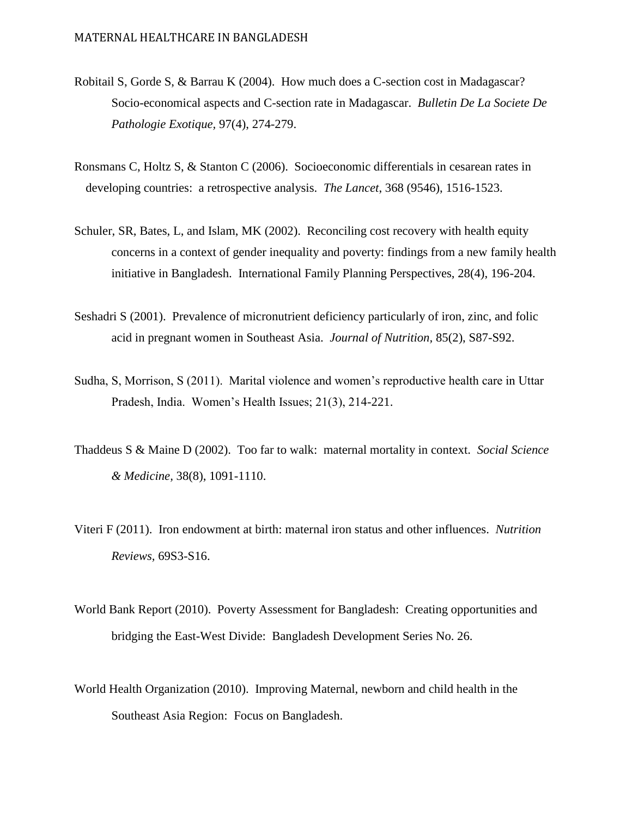- Robitail S, Gorde S, & Barrau K (2004). How much does a C-section cost in Madagascar? Socio-economical aspects and C-section rate in Madagascar. *Bulletin De La Societe De Pathologie Exotique,* 97(4), 274-279.
- Ronsmans C, Holtz S, & Stanton C (2006). Socioeconomic differentials in cesarean rates in developing countries: a retrospective analysis. *The Lancet*, 368 (9546), 1516-1523.
- Schuler, SR, Bates, L, and Islam, MK (2002). Reconciling cost recovery with health equity concerns in a context of gender inequality and poverty: findings from a new family health initiative in Bangladesh. International Family Planning Perspectives, 28(4), 196-204.
- Seshadri S (2001). Prevalence of micronutrient deficiency particularly of iron, zinc, and folic acid in pregnant women in Southeast Asia. *Journal of Nutrition,* 85(2), S87-S92.
- Sudha, S, Morrison, S (2011). Marital violence and women's reproductive health care in Uttar Pradesh, India. Women's Health Issues; 21(3), 214-221.
- Thaddeus S & Maine D (2002). Too far to walk: maternal mortality in context. *Social Science & Medicine,* 38(8), 1091-1110.
- Viteri F (2011). Iron endowment at birth: maternal iron status and other influences. *Nutrition Reviews,* 69S3-S16.
- World Bank Report (2010). Poverty Assessment for Bangladesh: Creating opportunities and bridging the East-West Divide: Bangladesh Development Series No. 26.
- World Health Organization (2010). Improving Maternal, newborn and child health in the Southeast Asia Region: Focus on Bangladesh.